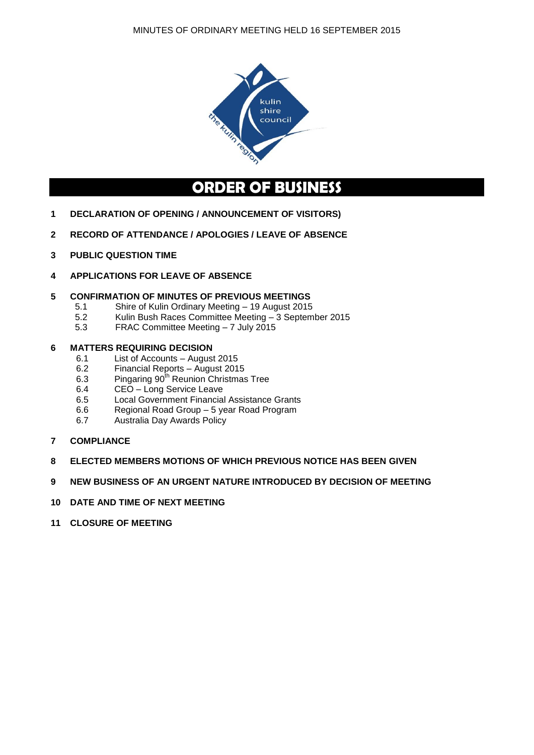

# **ORDER OF BUSINESS**

- **1 DECLARATION OF OPENING / ANNOUNCEMENT OF VISITORS)**
- **2 RECORD OF ATTENDANCE / APOLOGIES / LEAVE OF ABSENCE**
- **3 PUBLIC QUESTION TIME**
- **4 APPLICATIONS FOR LEAVE OF ABSENCE**

#### **5 CONFIRMATION OF MINUTES OF PREVIOUS MEETINGS**

- 5.1 Shire of Kulin Ordinary Meeting 19 August 2015
- 5.2 Kulin Bush Races Committee Meeting 3 September 2015
- 5.3 FRAC Committee Meeting 7 July 2015

#### **6 MATTERS REQUIRING DECISION**

- 6.1 List of Accounts August 2015<br>6.2 Financial Reports August 201
- 6.2 Financial Reports August 2015
- 6.3 Pingaring 90<sup>th</sup> Reunion Christmas Tree
- 6.4 CEO Long Service Leave
- 6.5 Local Government Financial Assistance Grants
- 6.6 Regional Road Group 5 year Road Program
- 6.7 Australia Day Awards Policy
- **7 COMPLIANCE**
- **8 ELECTED MEMBERS MOTIONS OF WHICH PREVIOUS NOTICE HAS BEEN GIVEN**
- **9 NEW BUSINESS OF AN URGENT NATURE INTRODUCED BY DECISION OF MEETING**
- **10 DATE AND TIME OF NEXT MEETING**
- **11 CLOSURE OF MEETING**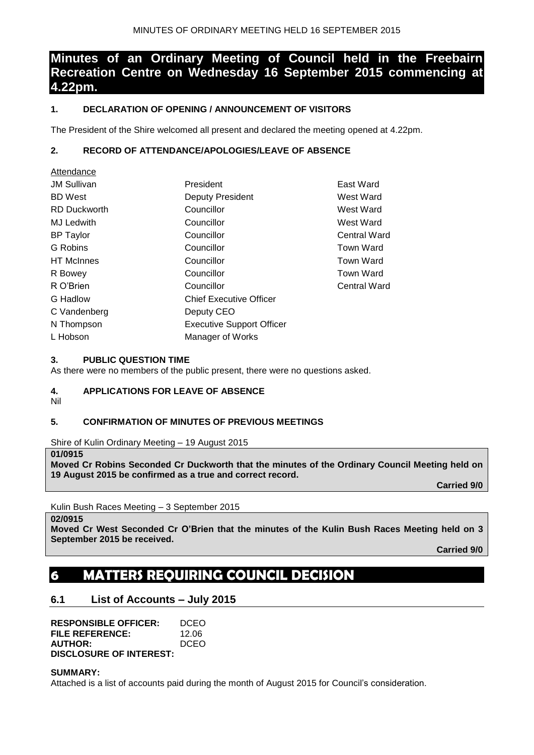# **Minutes of an Ordinary Meeting of Council held in the Freebairn Recreation Centre on Wednesday 16 September 2015 commencing at 4.22pm.**

## **1. DECLARATION OF OPENING / ANNOUNCEMENT OF VISITORS**

The President of the Shire welcomed all present and declared the meeting opened at 4.22pm.

## **2. RECORD OF ATTENDANCE/APOLOGIES/LEAVE OF ABSENCE**

| Attendance          |                                  |                     |
|---------------------|----------------------------------|---------------------|
| <b>JM Sullivan</b>  | President                        | East Ward           |
| <b>BD</b> West      | <b>Deputy President</b>          | West Ward           |
| <b>RD Duckworth</b> | Councillor                       | West Ward           |
| <b>MJ Ledwith</b>   | Councillor                       | West Ward           |
| <b>BP Taylor</b>    | Councillor                       | <b>Central Ward</b> |
| G Robins            | Councillor                       | <b>Town Ward</b>    |
| <b>HT</b> McInnes   | Councillor                       | <b>Town Ward</b>    |
| R Bowey             | Councillor                       | Town Ward           |
| R O'Brien           | Councillor                       | Central Ward        |
| G Hadlow            | <b>Chief Executive Officer</b>   |                     |
| C Vandenberg        | Deputy CEO                       |                     |
| N Thompson          | <b>Executive Support Officer</b> |                     |
| L Hobson            | Manager of Works                 |                     |

### **3. PUBLIC QUESTION TIME**

As there were no members of the public present, there were no questions asked.

## **4. APPLICATIONS FOR LEAVE OF ABSENCE**

Nil

## **5. CONFIRMATION OF MINUTES OF PREVIOUS MEETINGS**

Shire of Kulin Ordinary Meeting – 19 August 2015

#### **01/0915**

**Moved Cr Robins Seconded Cr Duckworth that the minutes of the Ordinary Council Meeting held on 19 August 2015 be confirmed as a true and correct record.**

**Carried 9/0**

## Kulin Bush Races Meeting – 3 September 2015

#### **02/0915**

**Moved Cr West Seconded Cr O'Brien that the minutes of the Kulin Bush Races Meeting held on 3 September 2015 be received.**

**Carried 9/0**

# **6 MATTERS REQUIRING COUNCIL DECISION**

## **6.1 List of Accounts – July 2015**

| <b>RESPONSIBLE OFFICER:</b>    | DCEO  |
|--------------------------------|-------|
| FILE REFERENCE:                | 12.06 |
| <b>AUTHOR:</b>                 | DCEO  |
| <b>DISCLOSURE OF INTEREST:</b> |       |

#### **SUMMARY:**

Attached is a list of accounts paid during the month of August 2015 for Council's consideration.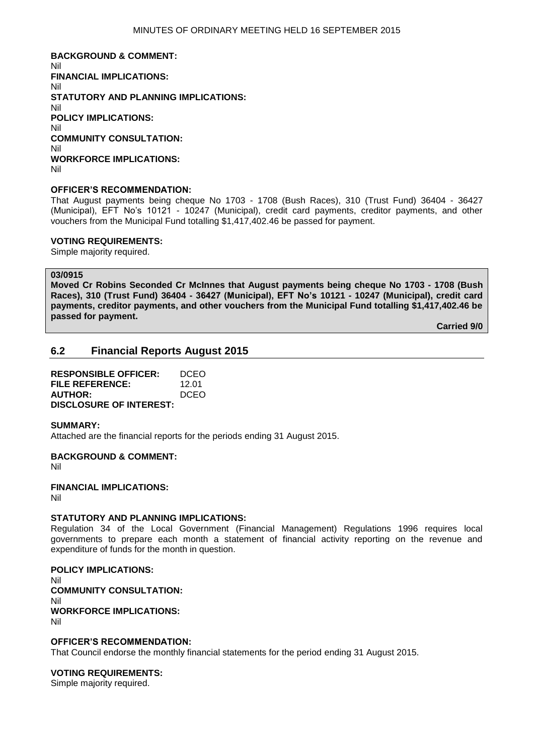**BACKGROUND & COMMENT:** Nil **FINANCIAL IMPLICATIONS:** Nil **STATUTORY AND PLANNING IMPLICATIONS:** Nil **POLICY IMPLICATIONS:** Nil **COMMUNITY CONSULTATION:** Nil **WORKFORCE IMPLICATIONS:** Nil

#### **OFFICER'S RECOMMENDATION:**

That August payments being cheque No 1703 - 1708 (Bush Races), 310 (Trust Fund) 36404 - 36427 (Municipal), EFT No's 10121 - 10247 (Municipal), credit card payments, creditor payments, and other vouchers from the Municipal Fund totalling \$1,417,402.46 be passed for payment.

#### **VOTING REQUIREMENTS:**

Simple majority required.

#### **03/0915**

**Moved Cr Robins Seconded Cr McInnes that August payments being cheque No 1703 - 1708 (Bush Races), 310 (Trust Fund) 36404 - 36427 (Municipal), EFT No's 10121 - 10247 (Municipal), credit card payments, creditor payments, and other vouchers from the Municipal Fund totalling \$1,417,402.46 be passed for payment.** 

**Carried 9/0**

#### **6.2 Financial Reports August 2015**

**RESPONSIBLE OFFICER:** DCEO **FILE REFERENCE:** 12.01 **AUTHOR:** DCEO **DISCLOSURE OF INTEREST:**

#### **SUMMARY:**

Attached are the financial reports for the periods ending 31 August 2015.

**BACKGROUND & COMMENT:**

Nil

**FINANCIAL IMPLICATIONS:**

Nil

#### **STATUTORY AND PLANNING IMPLICATIONS:**

Regulation 34 of the Local Government (Financial Management) Regulations 1996 requires local governments to prepare each month a statement of financial activity reporting on the revenue and expenditure of funds for the month in question.

#### **POLICY IMPLICATIONS:**

Nil **COMMUNITY CONSULTATION:** Nil **WORKFORCE IMPLICATIONS:** Nil

#### **OFFICER'S RECOMMENDATION:**

That Council endorse the monthly financial statements for the period ending 31 August 2015.

#### **VOTING REQUIREMENTS:**

Simple majority required.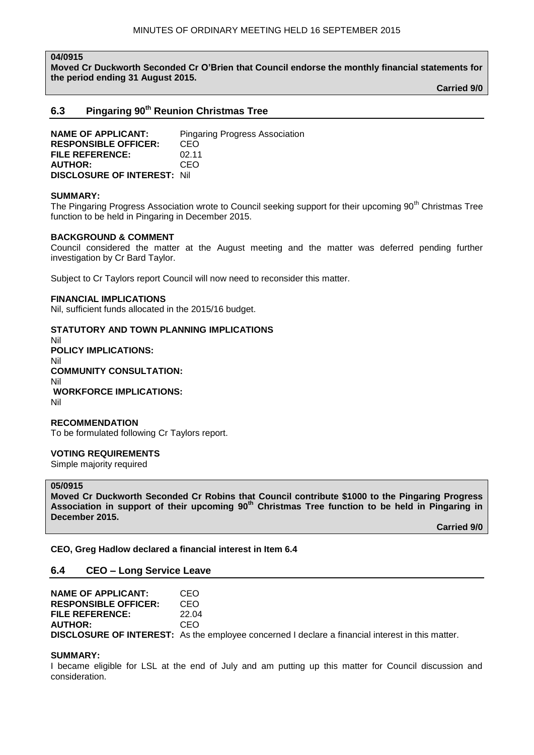#### **04/0915**

**Moved Cr Duckworth Seconded Cr O'Brien that Council endorse the monthly financial statements for the period ending 31 August 2015.**

**Carried 9/0**

## **6.3 Pingaring 90th Reunion Christmas Tree**

**NAME OF APPLICANT:** Pingaring Progress Association **RESPONSIBLE OFFICER:** CEO **FILE REFERENCE:** 02.11<br>AUTHOR: CFO **AUTHOR: DISCLOSURE OF INTEREST:** Nil

#### **SUMMARY:**

The Pingaring Progress Association wrote to Council seeking support for their upcoming 90<sup>th</sup> Christmas Tree function to be held in Pingaring in December 2015.

#### **BACKGROUND & COMMENT**

Council considered the matter at the August meeting and the matter was deferred pending further investigation by Cr Bard Taylor.

Subject to Cr Taylors report Council will now need to reconsider this matter.

#### **FINANCIAL IMPLICATIONS**

Nil, sufficient funds allocated in the 2015/16 budget.

#### **STATUTORY AND TOWN PLANNING IMPLICATIONS**

Nil **POLICY IMPLICATIONS:** Nil **COMMUNITY CONSULTATION:** Nil **WORKFORCE IMPLICATIONS:** Nil

#### **RECOMMENDATION** To be formulated following Cr Taylors report.

#### **VOTING REQUIREMENTS**

Simple majority required

#### **05/0915**

**Moved Cr Duckworth Seconded Cr Robins that Council contribute \$1000 to the Pingaring Progress Association in support of their upcoming 90th Christmas Tree function to be held in Pingaring in December 2015.**

**Carried 9/0**

**CEO, Greg Hadlow declared a financial interest in Item 6.4**

#### **6.4 CEO – Long Service Leave**

| NAME OF APPLICANT:          | CEO.                                                                                                    |
|-----------------------------|---------------------------------------------------------------------------------------------------------|
| <b>RESPONSIBLE OFFICER:</b> | CEO                                                                                                     |
| FILE REFERENCE:             | 22 Q4                                                                                                   |
| <b>AUTHOR:</b>              | CEO.                                                                                                    |
|                             | <b>DISCLOSURE OF INTEREST:</b> As the employee concerned I declare a financial interest in this matter. |

#### **SUMMARY:**

I became eligible for LSL at the end of July and am putting up this matter for Council discussion and consideration.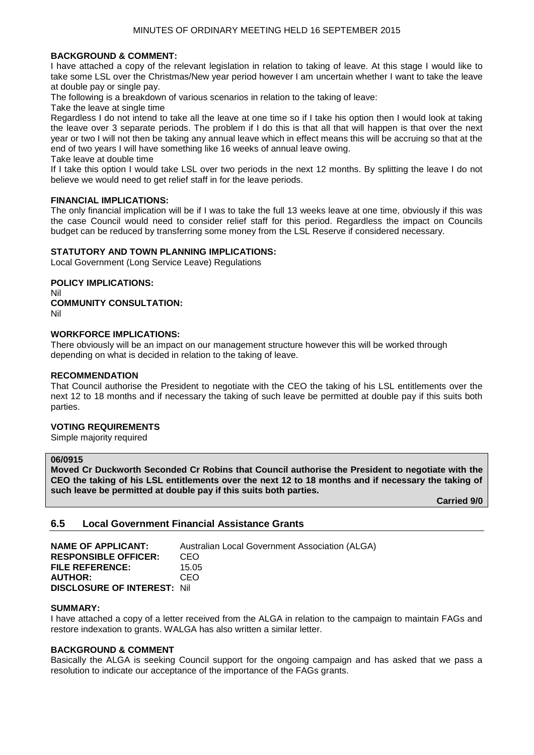#### **BACKGROUND & COMMENT:**

I have attached a copy of the relevant legislation in relation to taking of leave. At this stage I would like to take some LSL over the Christmas/New year period however I am uncertain whether I want to take the leave at double pay or single pay.

The following is a breakdown of various scenarios in relation to the taking of leave:

Take the leave at single time

Regardless I do not intend to take all the leave at one time so if I take his option then I would look at taking the leave over 3 separate periods. The problem if I do this is that all that will happen is that over the next year or two I will not then be taking any annual leave which in effect means this will be accruing so that at the end of two years I will have something like 16 weeks of annual leave owing.

Take leave at double time

If I take this option I would take LSL over two periods in the next 12 months. By splitting the leave I do not believe we would need to get relief staff in for the leave periods.

#### **FINANCIAL IMPLICATIONS:**

The only financial implication will be if I was to take the full 13 weeks leave at one time, obviously if this was the case Council would need to consider relief staff for this period. Regardless the impact on Councils budget can be reduced by transferring some money from the LSL Reserve if considered necessary.

#### **STATUTORY AND TOWN PLANNING IMPLICATIONS:**

Local Government (Long Service Leave) Regulations

**POLICY IMPLICATIONS:** Nil **COMMUNITY CONSULTATION:** Nil

#### **WORKFORCE IMPLICATIONS:**

There obviously will be an impact on our management structure however this will be worked through depending on what is decided in relation to the taking of leave.

#### **RECOMMENDATION**

That Council authorise the President to negotiate with the CEO the taking of his LSL entitlements over the next 12 to 18 months and if necessary the taking of such leave be permitted at double pay if this suits both parties.

#### **VOTING REQUIREMENTS**

Simple majority required

#### **06/0915**

**Moved Cr Duckworth Seconded Cr Robins that Council authorise the President to negotiate with the CEO the taking of his LSL entitlements over the next 12 to 18 months and if necessary the taking of such leave be permitted at double pay if this suits both parties.**

**Carried 9/0**

#### **6.5 Local Government Financial Assistance Grants**

| <b>NAME OF APPLICANT:</b>           | Australian Local Government Association (ALGA) |
|-------------------------------------|------------------------------------------------|
| <b>RESPONSIBLE OFFICER:</b>         | CEO                                            |
| <b>FILE REFERENCE:</b>              | 15.05                                          |
| <b>AUTHOR:</b>                      | CEO                                            |
| <b>DISCLOSURE OF INTEREST: Nill</b> |                                                |

#### **SUMMARY:**

I have attached a copy of a letter received from the ALGA in relation to the campaign to maintain FAGs and restore indexation to grants. WALGA has also written a similar letter.

#### **BACKGROUND & COMMENT**

Basically the ALGA is seeking Council support for the ongoing campaign and has asked that we pass a resolution to indicate our acceptance of the importance of the FAGs grants.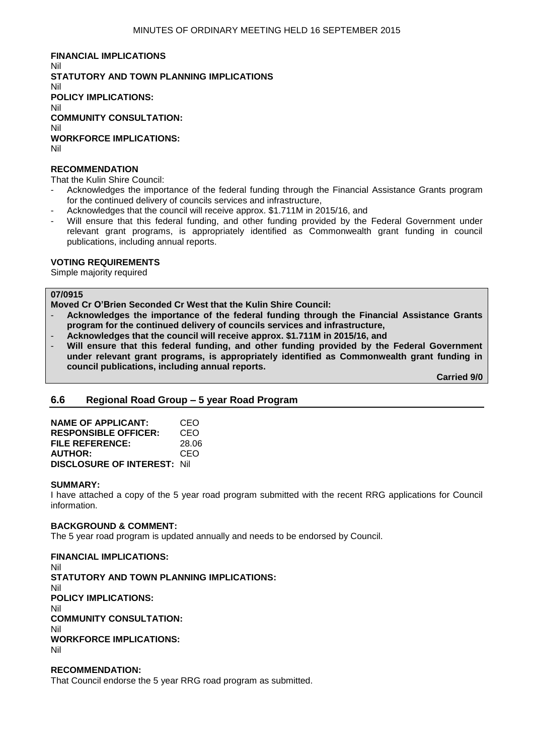**FINANCIAL IMPLICATIONS** Nil **STATUTORY AND TOWN PLANNING IMPLICATIONS** Nil **POLICY IMPLICATIONS:** Nil **COMMUNITY CONSULTATION:** Nil **WORKFORCE IMPLICATIONS:** Nil

#### **RECOMMENDATION**

That the Kulin Shire Council:

- Acknowledges the importance of the federal funding through the Financial Assistance Grants program for the continued delivery of councils services and infrastructure,
- Acknowledges that the council will receive approx. \$1.711M in 2015/16, and
- Will ensure that this federal funding, and other funding provided by the Federal Government under relevant grant programs, is appropriately identified as Commonwealth grant funding in council publications, including annual reports.

#### **VOTING REQUIREMENTS**

Simple majority required

#### **07/0915**

**Moved Cr O'Brien Seconded Cr West that the Kulin Shire Council:**

- **Acknowledges the importance of the federal funding through the Financial Assistance Grants program for the continued delivery of councils services and infrastructure,**
- **Acknowledges that the council will receive approx. \$1.711M in 2015/16, and**
- **Will ensure that this federal funding, and other funding provided by the Federal Government under relevant grant programs, is appropriately identified as Commonwealth grant funding in council publications, including annual reports.**

**Carried 9/0**

#### **6.6 Regional Road Group – 5 year Road Program**

| <b>NAME OF APPLICANT:</b>           | CEO   |
|-------------------------------------|-------|
| <b>RESPONSIBLE OFFICER:</b>         | CEO   |
| FILE REFERENCE:                     | 28.06 |
| <b>AUTHOR:</b>                      | CEO   |
| <b>DISCLOSURE OF INTEREST: Nill</b> |       |

#### **SUMMARY:**

I have attached a copy of the 5 year road program submitted with the recent RRG applications for Council information.

#### **BACKGROUND & COMMENT:**

The 5 year road program is updated annually and needs to be endorsed by Council.

#### **FINANCIAL IMPLICATIONS:**

Nil **STATUTORY AND TOWN PLANNING IMPLICATIONS:** Nil **POLICY IMPLICATIONS:** Nil **COMMUNITY CONSULTATION:** Nil **WORKFORCE IMPLICATIONS:** Nil

#### **RECOMMENDATION:**

That Council endorse the 5 year RRG road program as submitted.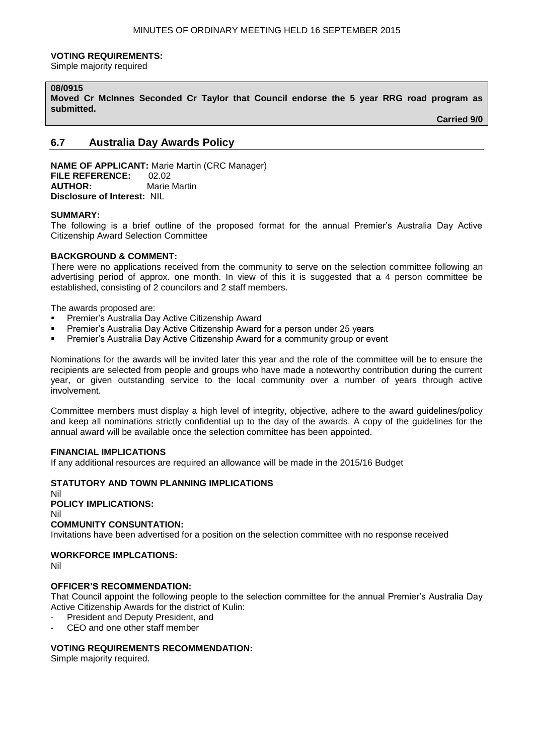#### **VOTING REQUIREMENTS:**

Simple majority required

#### **08/0915**

**Moved Cr McInnes Seconded Cr Taylor that Council endorse the 5 year RRG road program as submitted.**

**Carried 9/0**

## **6.7 Australia Day Awards Policy**

**NAME OF APPLICANT:** Marie Martin (CRC Manager) **FILE REFERENCE:** 02.02 **AUTHOR:** Marie Martin **Disclosure of Interest:** NIL

#### **SUMMARY:**

The following is a brief outline of the proposed format for the annual Premier's Australia Day Active Citizenship Award Selection Committee

#### **BACKGROUND & COMMENT:**

There were no applications received from the community to serve on the selection committee following an advertising period of approx. one month. In view of this it is suggested that a 4 person committee be established, consisting of 2 councilors and 2 staff members.

The awards proposed are:

- **Premier's Australia Day Active Citizenship Award**
- **Premier's Australia Day Active Citizenship Award for a person under 25 years**
- Premier's Australia Day Active Citizenship Award for a community group or event

Nominations for the awards will be invited later this year and the role of the committee will be to ensure the recipients are selected from people and groups who have made a noteworthy contribution during the current year, or given outstanding service to the local community over a number of years through active involvement.

Committee members must display a high level of integrity, objective, adhere to the award guidelines/policy and keep all nominations strictly confidential up to the day of the awards. A copy of the guidelines for the annual award will be available once the selection committee has been appointed.

### **FINANCIAL IMPLICATIONS**

If any additional resources are required an allowance will be made in the 2015/16 Budget

#### **STATUTORY AND TOWN PLANNING IMPLICATIONS**

Nil **POLICY IMPLICATIONS:** Nil **COMMUNITY CONSUNTATION:**

Invitations have been advertised for a position on the selection committee with no response received

#### **WORKFORCE IMPLCATIONS:**

Nil

#### **OFFICER'S RECOMMENDATION:**

That Council appoint the following people to the selection committee for the annual Premier's Australia Day Active Citizenship Awards for the district of Kulin:

- President and Deputy President, and
- CEO and one other staff member

#### **VOTING REQUIREMENTS RECOMMENDATION:**

Simple majority required.